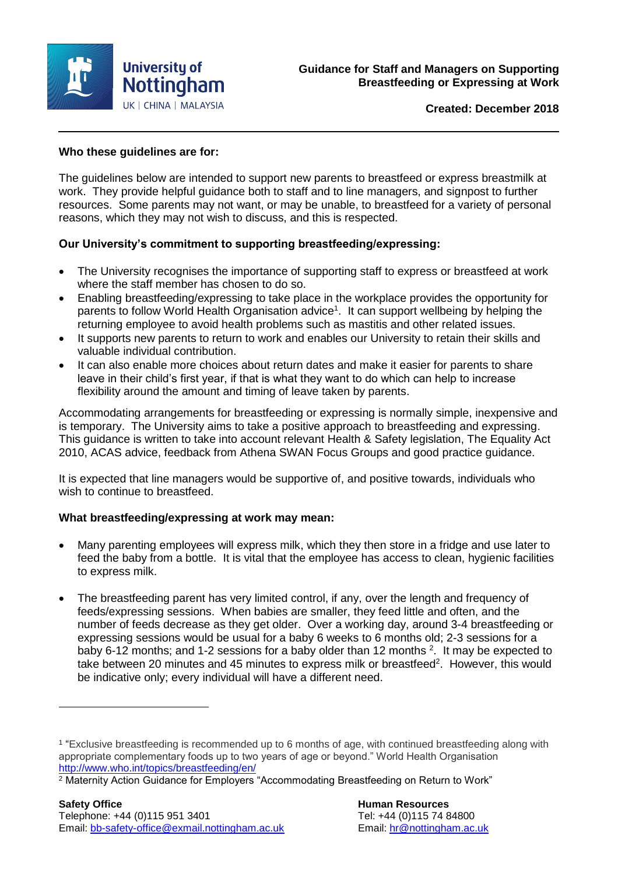

### **Who these guidelines are for:**

The guidelines below are intended to support new parents to breastfeed or express breastmilk at work. They provide helpful guidance both to staff and to line managers, and signpost to further resources. Some parents may not want, or may be unable, to breastfeed for a variety of personal reasons, which they may not wish to discuss, and this is respected.

### **Our University's commitment to supporting breastfeeding/expressing:**

- The University recognises the importance of supporting staff to express or breastfeed at work where the staff member has chosen to do so.
- Enabling breastfeeding/expressing to take place in the workplace provides the opportunity for parents to follow World Health Organisation advice<sup>1</sup>. It can support wellbeing by helping the returning employee to avoid health problems such as mastitis and other related issues.
- It supports new parents to return to work and enables our University to retain their skills and valuable individual contribution.
- It can also enable more choices about return dates and make it easier for parents to share leave in their child's first year, if that is what they want to do which can help to increase flexibility around the amount and timing of leave taken by parents.

Accommodating arrangements for breastfeeding or expressing is normally simple, inexpensive and is temporary. The University aims to take a positive approach to breastfeeding and expressing. This guidance is written to take into account relevant Health & Safety legislation, The Equality Act 2010, ACAS advice, feedback from Athena SWAN Focus Groups and good practice guidance.

It is expected that line managers would be supportive of, and positive towards, individuals who wish to continue to breastfeed.

#### **What breastfeeding/expressing at work may mean:**

- Many parenting employees will express milk, which they then store in a fridge and use later to feed the baby from a bottle. It is vital that the employee has access to clean, hygienic facilities to express milk.
- The breastfeeding parent has very limited control, if any, over the length and frequency of feeds/expressing sessions. When babies are smaller, they feed little and often, and the number of feeds decrease as they get older. Over a working day, around 3-4 breastfeeding or expressing sessions would be usual for a baby 6 weeks to 6 months old; 2-3 sessions for a baby 6-12 months; and 1-2 sessions for a baby older than 12 months <sup>2</sup>. It may be expected to take between 20 minutes and 45 minutes to express milk or breastfeed<sup>2</sup>. However, this would be indicative only; every individual will have a different need.

<sup>1</sup> "Exclusive breastfeeding is recommended up to 6 months of age, with continued breastfeeding along with appropriate complementary foods up to two years of age or beyond." World Health Organisation <http://www.who.int/topics/breastfeeding/en/>

<sup>&</sup>lt;sup>2</sup> Maternity Action Guidance for Employers "Accommodating Breastfeeding on Return to Work"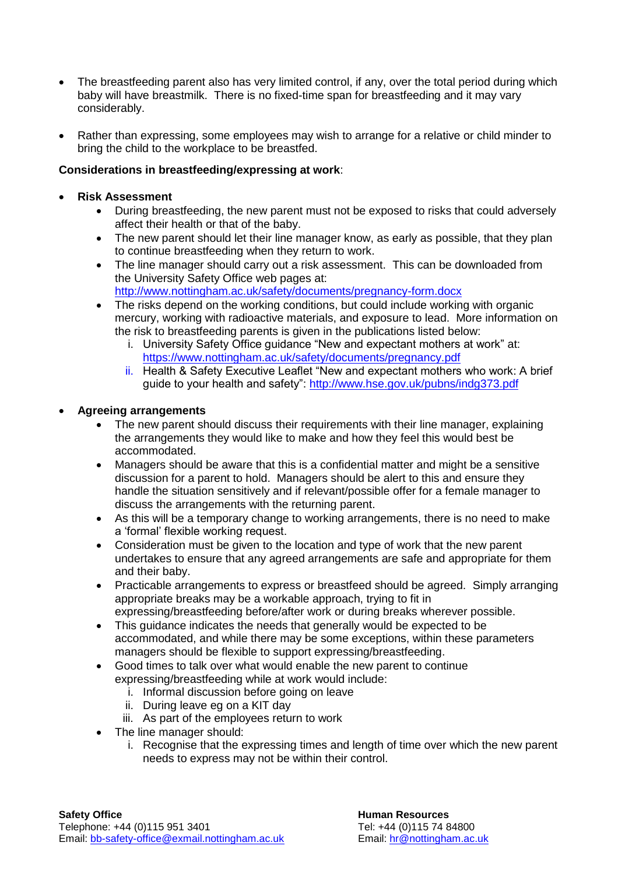- The breastfeeding parent also has very limited control, if any, over the total period during which baby will have breastmilk. There is no fixed-time span for breastfeeding and it may vary considerably.
- Rather than expressing, some employees may wish to arrange for a relative or child minder to bring the child to the workplace to be breastfed.

### **Considerations in breastfeeding/expressing at work**:

- **Risk Assessment**
	- During breastfeeding, the new parent must not be exposed to risks that could adversely affect their health or that of the baby.
	- The new parent should let their line manager know, as early as possible, that they plan to continue breastfeeding when they return to work.
	- The line manager should carry out a risk assessment. This can be downloaded from the University Safety Office web pages at:
		- <http://www.nottingham.ac.uk/safety/documents/pregnancy-form.docx>
	- The risks depend on the working conditions, but could include working with organic mercury, working with radioactive materials, and exposure to lead. More information on the risk to breastfeeding parents is given in the publications listed below:
		- i. University Safety Office guidance "New and expectant mothers at work" at: <https://www.nottingham.ac.uk/safety/documents/pregnancy.pdf>
		- ii. Health & Safety Executive Leaflet "New and expectant mothers who work: A brief guide to your health and safety":<http://www.hse.gov.uk/pubns/indg373.pdf>
- **Agreeing arrangements**
	- The new parent should discuss their requirements with their line manager, explaining the arrangements they would like to make and how they feel this would best be accommodated.
	- Managers should be aware that this is a confidential matter and might be a sensitive discussion for a parent to hold. Managers should be alert to this and ensure they handle the situation sensitively and if relevant/possible offer for a female manager to discuss the arrangements with the returning parent.
	- As this will be a temporary change to working arrangements, there is no need to make a 'formal' flexible working request.
	- Consideration must be given to the location and type of work that the new parent undertakes to ensure that any agreed arrangements are safe and appropriate for them and their baby.
	- Practicable arrangements to express or breastfeed should be agreed. Simply arranging appropriate breaks may be a workable approach, trying to fit in expressing/breastfeeding before/after work or during breaks wherever possible.
	- This guidance indicates the needs that generally would be expected to be accommodated, and while there may be some exceptions, within these parameters managers should be flexible to support expressing/breastfeeding.
	- Good times to talk over what would enable the new parent to continue expressing/breastfeeding while at work would include:
		- i. Informal discussion before going on leave
		- ii. During leave eg on a KIT day
		- iii. As part of the employees return to work
	- The line manager should:
		- i. Recognise that the expressing times and length of time over which the new parent needs to express may not be within their control.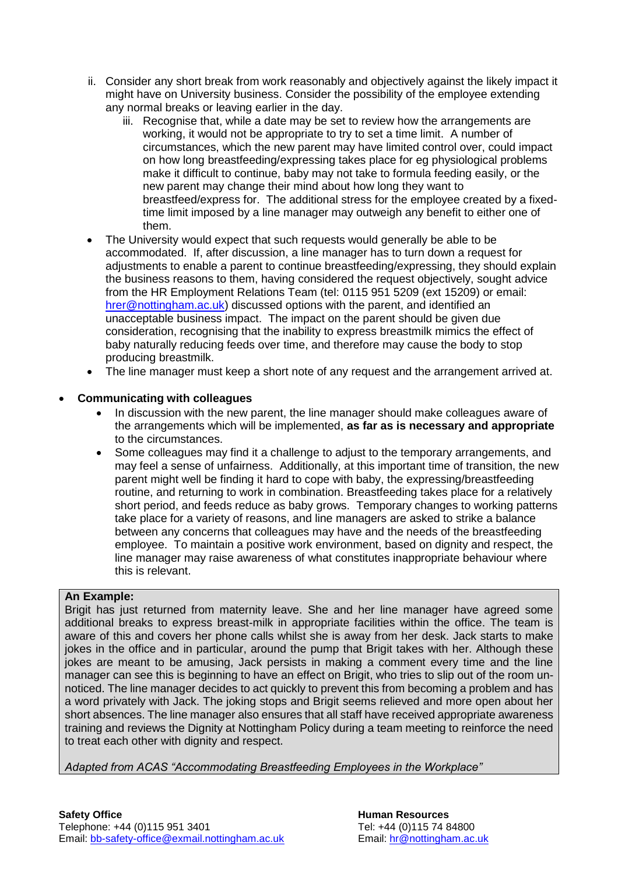- ii. Consider any short break from work reasonably and objectively against the likely impact it might have on University business. Consider the possibility of the employee extending any normal breaks or leaving earlier in the day.
	- iii. Recognise that, while a date may be set to review how the arrangements are working, it would not be appropriate to try to set a time limit. A number of circumstances, which the new parent may have limited control over, could impact on how long breastfeeding/expressing takes place for eg physiological problems make it difficult to continue, baby may not take to formula feeding easily, or the new parent may change their mind about how long they want to breastfeed/express for. The additional stress for the employee created by a fixedtime limit imposed by a line manager may outweigh any benefit to either one of them.
- The University would expect that such requests would generally be able to be accommodated. If, after discussion, a line manager has to turn down a request for adjustments to enable a parent to continue breastfeeding/expressing, they should explain the business reasons to them, having considered the request objectively, sought advice from the HR Employment Relations Team (tel: 0115 951 5209 (ext 15209) or email: [hrer@nottingham.ac.uk\)](mailto:hrer@nottingham.ac.uk) discussed options with the parent, and identified an unacceptable business impact. The impact on the parent should be given due consideration, recognising that the inability to express breastmilk mimics the effect of baby naturally reducing feeds over time, and therefore may cause the body to stop producing breastmilk.
- The line manager must keep a short note of any request and the arrangement arrived at.
- **Communicating with colleagues**
	- In discussion with the new parent, the line manager should make colleagues aware of the arrangements which will be implemented, **as far as is necessary and appropriate** to the circumstances.
	- Some colleagues may find it a challenge to adjust to the temporary arrangements, and may feel a sense of unfairness. Additionally, at this important time of transition, the new parent might well be finding it hard to cope with baby, the expressing/breastfeeding routine, and returning to work in combination. Breastfeeding takes place for a relatively short period, and feeds reduce as baby grows. Temporary changes to working patterns take place for a variety of reasons, and line managers are asked to strike a balance between any concerns that colleagues may have and the needs of the breastfeeding employee. To maintain a positive work environment, based on dignity and respect, the line manager may raise awareness of what constitutes inappropriate behaviour where this is relevant.

# **An Example:**

Brigit has just returned from maternity leave. She and her line manager have agreed some additional breaks to express breast-milk in appropriate facilities within the office. The team is aware of this and covers her phone calls whilst she is away from her desk. Jack starts to make jokes in the office and in particular, around the pump that Brigit takes with her. Although these jokes are meant to be amusing, Jack persists in making a comment every time and the line manager can see this is beginning to have an effect on Brigit, who tries to slip out of the room unnoticed. The line manager decides to act quickly to prevent this from becoming a problem and has a word privately with Jack. The joking stops and Brigit seems relieved and more open about her short absences. The line manager also ensures that all staff have received appropriate awareness training and reviews the Dignity at Nottingham Policy during a team meeting to reinforce the need to treat each other with dignity and respect.

*Adapted from ACAS "Accommodating Breastfeeding Employees in the Workplace"*